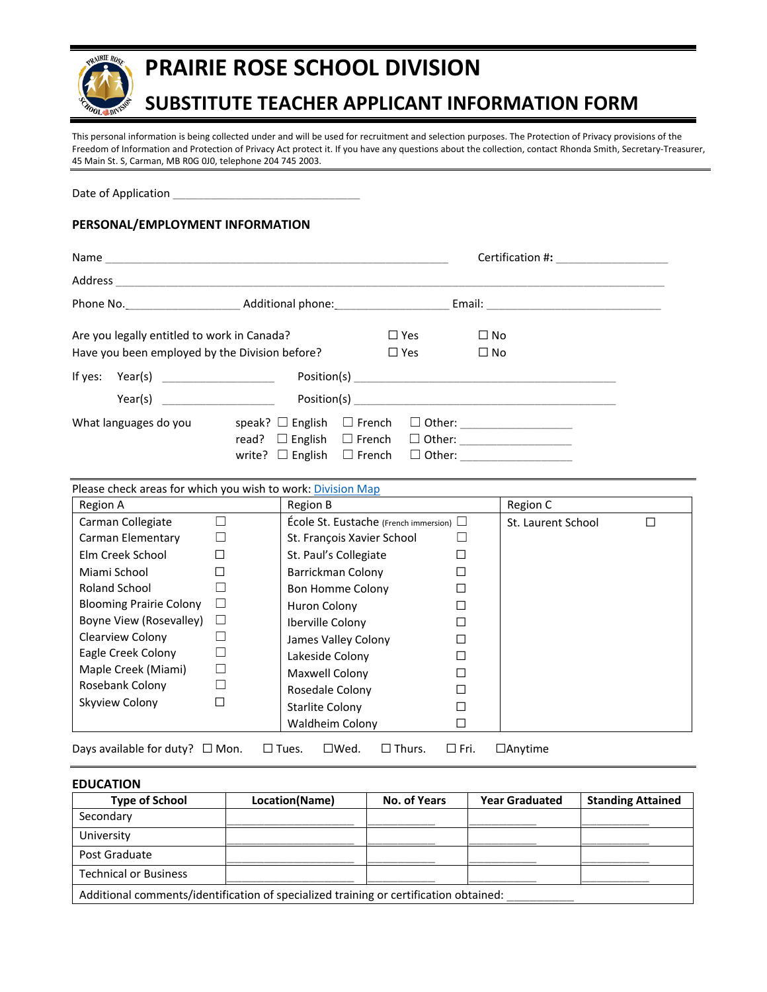

# **PRAIRIE ROSE SCHOOL DIVISION**

# **SUBSTITUTE TEACHER APPLICANT INFORMATION FORM**

This personal information is being collected under and will be used for recruitment and selection purposes. The Protection of Privacy provisions of the Freedom of Information and Protection of Privacy Act protect it. If you have any questions about the collection, contact Rhonda Smith, Secretary-Treasurer, 45 Main St. S, Carman, MB R0G 0J0, telephone 204 745 2003.

Date of Application

# **PERSONAL/EMPLOYMENT INFORMATION**

|                                                                                               |                                                                                                                  |  |                          | Certification #:          |  |
|-----------------------------------------------------------------------------------------------|------------------------------------------------------------------------------------------------------------------|--|--------------------------|---------------------------|--|
| Address                                                                                       |                                                                                                                  |  |                          |                           |  |
| Phone No. Month Additional phone:                                                             |                                                                                                                  |  |                          |                           |  |
| Are you legally entitled to work in Canada?<br>Have you been employed by the Division before? |                                                                                                                  |  | $\Box$ Yes<br>$\Box$ Yes | $\Box$ No<br>$\square$ No |  |
| If yes: $Year(s)$ ___________________                                                         |                                                                                                                  |  |                          |                           |  |
|                                                                                               |                                                                                                                  |  |                          |                           |  |
| What languages do you                                                                         | speak? $\Box$ English $\Box$ French<br>read? $\Box$ English $\Box$ French<br>write? $\Box$ English $\Box$ French |  |                          |                           |  |

Please check areas for which you wish to work: *Division Map* 

| Region A                       |   | Region B                                     |  | Region C           |   |
|--------------------------------|---|----------------------------------------------|--|--------------------|---|
| Carman Collegiate              |   | École St. Eustache (French immersion) $\Box$ |  | St. Laurent School | П |
| Carman Elementary              |   | St. François Xavier School                   |  |                    |   |
| Elm Creek School               |   | St. Paul's Collegiate                        |  |                    |   |
| Miami School                   |   | Barrickman Colony                            |  |                    |   |
| Roland School                  |   | Bon Homme Colony                             |  |                    |   |
| <b>Blooming Prairie Colony</b> |   | Huron Colony                                 |  |                    |   |
| Boyne View (Rosevalley)        | ⊔ | <b>Iberville Colony</b>                      |  |                    |   |
| Clearview Colony               |   | James Valley Colony                          |  |                    |   |
| Eagle Creek Colony             |   | Lakeside Colony                              |  |                    |   |
| Maple Creek (Miami)            |   | Maxwell Colony                               |  |                    |   |
| Rosebank Colony                |   | Rosedale Colony                              |  |                    |   |
| Skyview Colony                 |   | <b>Starlite Colony</b>                       |  |                    |   |
|                                |   | Waldheim Colony                              |  |                    |   |
|                                |   |                                              |  |                    |   |

Days available for duty? □ Mon. □ Tues. □ Wed. □ Thurs. □ Fri. □ Anytime

| <b>EDUCATION</b>                                                                      |                |              |                       |                          |
|---------------------------------------------------------------------------------------|----------------|--------------|-----------------------|--------------------------|
| <b>Type of School</b>                                                                 | Location(Name) | No. of Years | <b>Year Graduated</b> | <b>Standing Attained</b> |
| Secondary                                                                             |                |              |                       |                          |
| University                                                                            |                |              |                       |                          |
| Post Graduate                                                                         |                |              |                       |                          |
| <b>Technical or Business</b>                                                          |                |              |                       |                          |
| Additional comments/identification of specialized training or certification obtained: |                |              |                       |                          |